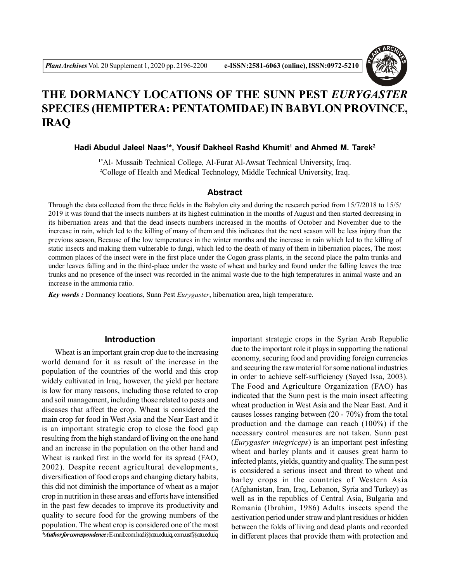

# **THE DORMANCY LOCATIONS OF THE SUNN PEST** *EURYGASTER* **SPECIES (HEMIPTERA: PENTATOMIDAE) IN BABYLON PROVINCE, IRAQ**

**Hadi Abudul Jaleel Naas<sup>1</sup> \*, Yousif Dakheel Rashd Khumit<sup>1</sup> and Ahmed M. Tarek<sup>2</sup>**

<sup>1\*</sup>Al- Mussaib Technical College, Al-Furat Al-Awsat Technical University, Iraq. <sup>2</sup>College of Health and Medical Technology, Middle Technical University, Iraq.

#### **Abstract**

Through the data collected from the three fields in the Babylon city and during the research period from 15/7/2018 to 15/5/ 2019 it was found that the insects numbers at its highest culmination in the months of August and then started decreasing in its hibernation areas and that the dead insects numbers increased in the months of October and November due to the increase in rain, which led to the killing of many of them and this indicates that the next season will be less injury than the previous season, Because of the low temperatures in the winter months and the increase in rain which led to the killing of static insects and making them vulnerable to fungi, which led to the death of many of them in hibernation places, The most common places of the insect were in the first place under the Cogon grass plants, in the second place the palm trunks and under leaves falling and in the third-place under the waste of wheat and barley and found under the falling leaves the tree trunks and no presence of the insect was recorded in the animal waste due to the high temperatures in animal waste and an increase in the ammonia ratio.

*Key words :* Dormancy locations, Sunn Pest *Eurygaster*, hibernation area, high temperature.

## **Introduction**

Wheat is an important grain crop due to the increasing world demand for it as result of the increase in the population of the countries of the world and this crop widely cultivated in Iraq, however, the yield per hectare is low for many reasons, including those related to crop and soil management, including those related to pests and diseases that affect the crop. Wheat is considered the main crop for food in West Asia and the Near East and it is an important strategic crop to close the food gap resulting from the high standard of living on the one hand and an increase in the population on the other hand and Wheat is ranked first in the world for its spread (FAO, 2002). Despite recent agricultural developments, diversification of food crops and changing dietary habits, this did not diminish the importance of wheat as a major crop in nutrition in these areas and efforts have intensified in the past few decades to improve its productivity and quality to secure food for the growing numbers of the population. The wheat crop is considered one of the most *\*Author for correspondence :* E-mail: com.hadi@atu.edu.iq, com.usf@atu.edu.iq

important strategic crops in the Syrian Arab Republic due to the important role it plays in supporting the national economy, securing food and providing foreign currencies and securing the raw material for some national industries in order to achieve self-sufficiency (Sayed Issa, 2003). The Food and Agriculture Organization (FAO) has indicated that the Sunn pest is the main insect affecting wheat production in West Asia and the Near East. And it causes losses ranging between (20 - 70%) from the total production and the damage can reach (100%) if the necessary control measures are not taken. Sunn pest (*Eurygaster integriceps*) is an important pest infesting wheat and barley plants and it causes great harm to infected plants, yields, quantity and quality. The sunn pest is considered a serious insect and threat to wheat and barley crops in the countries of Western Asia (Afghanistan, Iran, Iraq, Lebanon, Syria and Turkey) as well as in the republics of Central Asia, Bulgaria and Romania (Ibrahim, 1986) Adults insects spend the aestivation period under straw and plant residues or hidden between the folds of living and dead plants and recorded in different places that provide them with protection and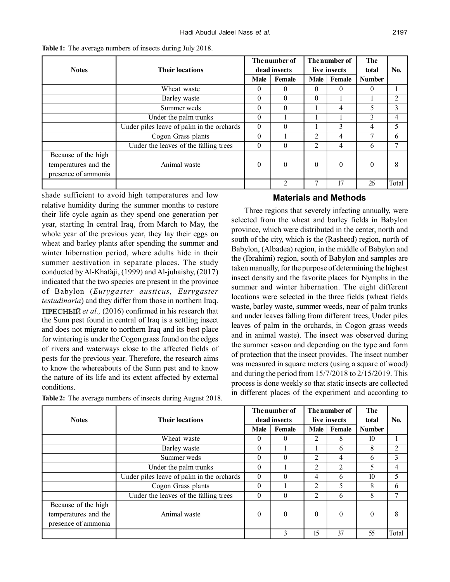| <b>Notes</b>                                                       | <b>Their locations</b>                    |          | The number of<br>dead insects | The number of<br>live insects |          | <b>The</b><br>total | No.            |
|--------------------------------------------------------------------|-------------------------------------------|----------|-------------------------------|-------------------------------|----------|---------------------|----------------|
|                                                                    |                                           | Male     | Female                        | Male                          | Female   | <b>Number</b>       |                |
|                                                                    | Wheat waste                               | $\theta$ | $\theta$                      | 0                             | 0        | $\theta$            |                |
|                                                                    | Barley waste                              | $\theta$ | $\Omega$                      | 0                             |          |                     | $\overline{2}$ |
|                                                                    | Summer weds                               | $\theta$ | $\Omega$                      |                               | 4        | 5                   | 3              |
|                                                                    | Under the palm trunks                     | $\theta$ |                               |                               |          | 3                   | 4              |
|                                                                    | Under piles leave of palm in the orchards | $\theta$ | $\Omega$                      |                               | 3        | 4                   | 5              |
|                                                                    | Cogon Grass plants                        | $\theta$ |                               | 2                             | 4        | $\overline{ }$      | 6              |
|                                                                    | Under the leaves of the falling trees     | $\theta$ | $\Omega$                      | 2                             | 4        | 6                   | $\mathcal{L}$  |
| Because of the high<br>temperatures and the<br>presence of ammonia | Animal waste                              | $\theta$ | $\theta$                      | 0                             | $\theta$ | $\theta$            | 8              |
|                                                                    |                                           |          | $\mathfrak{D}$                | 7                             | 17       | 26                  | Total          |

**Table 1:** The average numbers of insects during July 2018.

shade sufficient to avoid high temperatures and low relative humidity during the summer months to restore their life cycle again as they spend one generation per year, starting In central Iraq, from March to May, the whole year of the previous year, they lay their eggs on wheat and barley plants after spending the summer and winter hibernation period, where adults hide in their summer aestivation in separate places. The study conducted by Al-Khafaji, (1999) and Al-juhaishy, (2017) indicated that the two species are present in the province of Babylon (*Eurygaster austicus, Eurygaster testudinaria*) and they differ from those in northern Iraq. *et al.,* (2016) confirmed in his research that the Sunn pest found in central of Iraq is a settling insect and does not migrate to northern Iraq and its best place for wintering is under the Cogon grass found on the edges of rivers and waterways close to the affected fields of pests for the previous year. Therefore, the research aims to know the whereabouts of the Sunn pest and to know the nature of its life and its extent affected by external conditions.

|  |  | Table 2: The average numbers of insects during August 2018. |
|--|--|-------------------------------------------------------------|
|  |  |                                                             |

## **Materials and Methods**

Three regions that severely infecting annually, were selected from the wheat and barley fields in Babylon province, which were distributed in the center, north and south of the city, which is the (Rasheed) region, north of Babylon, (Albadea) region, in the middle of Babylon and the (Ibrahimi) region, south of Babylon and samples are taken manually, for the purpose of determining the highest insect density and the favorite places for Nymphs in the summer and winter hibernation. The eight different locations were selected in the three fields (wheat fields waste, barley waste, summer weeds, near of palm trunks and under leaves falling from different trees, Under piles leaves of palm in the orchards, in Cogon grass weeds and in animal waste). The insect was observed during the summer season and depending on the type and form of protection that the insect provides. The insect number was measured in square meters (using a square of wood) and during the period from 15/7/2018 to 2/15/2019. This process is done weekly so that static insects are collected in different places of the experiment and according to

|                      |                                           |              | The number of |              | The number of  |                  |                |
|----------------------|-------------------------------------------|--------------|---------------|--------------|----------------|------------------|----------------|
| <b>Notes</b>         | <b>Their locations</b>                    | dead insects |               | live insects |                | total            | N <sub>0</sub> |
|                      |                                           | Male         | Female        | Male         | Female         | <b>Number</b>    |                |
|                      | Wheat waste                               | $\theta$     | $\Omega$      | 2            | 8              | 10 <sup>10</sup> |                |
|                      | Barley waste                              | $\theta$     |               |              | 6              | 8                | $\overline{c}$ |
|                      | Summer weds                               | $\theta$     | $\Omega$      | 2            | 4              | 6                | 3              |
|                      | Under the palm trunks                     | $\theta$     |               | 2            | $\overline{2}$ | 5                | 4              |
|                      | Under piles leave of palm in the orchards | $\theta$     | $\Omega$      | 4            | 6              | 10               | 5              |
|                      | Cogon Grass plants                        | $\theta$     |               | 2            | 5              | 8                | 6              |
|                      | Under the leaves of the falling trees     | $\theta$     | $\Omega$      | 2            | 6              | 8                | 7              |
| Because of the high  |                                           |              |               |              |                |                  |                |
| temperatures and the | Animal waste                              | $\theta$     | $\theta$      | 0            | $\theta$       | $\theta$         | 8              |
| presence of ammonia  |                                           |              |               |              |                |                  |                |
|                      |                                           |              | 3             | 15           | 37             | 55               | Total          |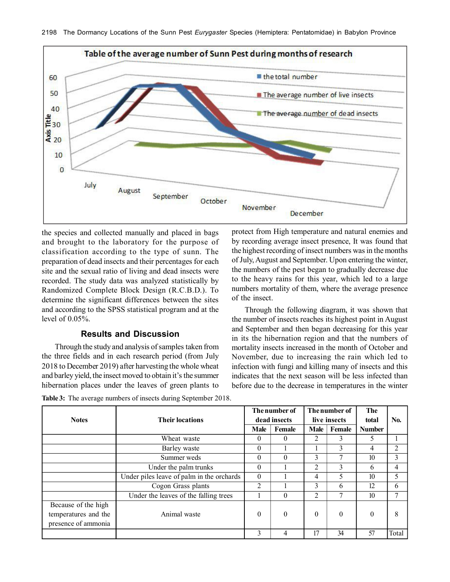

the species and collected manually and placed in bags and brought to the laboratory for the purpose of classification according to the type of sunn. The preparation of dead insects and their percentages for each site and the sexual ratio of living and dead insects were recorded. The study data was analyzed statistically by Randomized Complete Block Design (R.C.B.D.). To determine the significant differences between the sites and according to the SPSS statistical program and at the level of 0.05%.

### **Results and Discussion**

Through the study and analysis of samples taken from the three fields and in each research period (from July 2018 to December 2019) after harvesting the whole wheat and barley yield, the insect moved to obtain it's the summer hibernation places under the leaves of green plants to

protect from High temperature and natural enemies and by recording average insect presence, It was found that the highest recording of insect numbers was in the months of July, August and September. Upon entering the winter, the numbers of the pest began to gradually decrease due to the heavy rains for this year, which led to a large numbers mortality of them, where the average presence of the insect.

Through the following diagram, it was shown that the number of insects reaches its highest point in August and September and then began decreasing for this year in its the hibernation region and that the numbers of mortality insects increased in the month of October and November, due to increasing the rain which led to infection with fungi and killing many of insects and this indicates that the next season will be less infected than before due to the decrease in temperatures in the winter

|                      |                                           |              | The number of | The number of |          | <b>The</b>    |       |
|----------------------|-------------------------------------------|--------------|---------------|---------------|----------|---------------|-------|
| <b>Notes</b>         | <b>Their locations</b>                    | dead insects |               | live insects  |          | total         | No.   |
|                      |                                           | <b>Male</b>  | Female        | Male          | Female   | <b>Number</b> |       |
|                      | Wheat waste                               | $\theta$     | $\Omega$      | 2             | 3        | 5             |       |
|                      | Barley waste                              | $\theta$     |               |               | 3        | 4             |       |
|                      | Summer weds                               | $\theta$     | $\theta$      | 3             | 7        | 10            | 3     |
|                      | Under the palm trunks                     | $\theta$     |               | 2             | 3        | 6             | 4     |
|                      | Under piles leave of palm in the orchards | $\theta$     |               | 4             | 5        | 10            | 5     |
|                      | Cogon Grass plants                        | 2            |               | 3             | 6        | 12            | 6     |
|                      | Under the leaves of the falling trees     |              | $\Omega$      | 2             |          | 10            | ┑     |
| Because of the high  |                                           |              |               |               |          |               |       |
| temperatures and the | Animal waste                              | $\theta$     | $\Omega$      | $\Omega$      | $\theta$ | $\Omega$      | 8     |
| presence of ammonia  |                                           |              |               |               |          |               |       |
|                      |                                           | 3            | 4             | 17            | 34       | 57            | Total |

**Table 3:** The average numbers of insects during September 2018.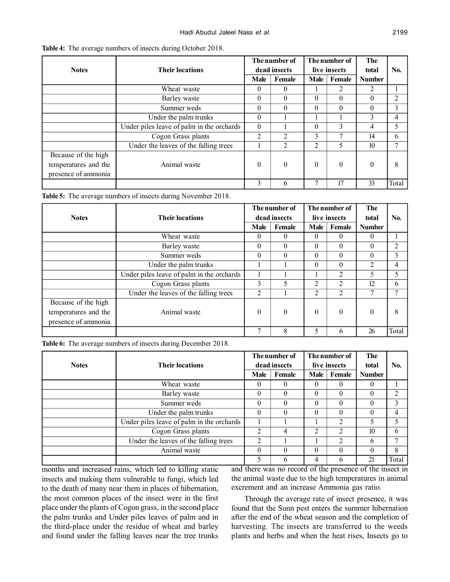| <b>Notes</b>         | <b>Their locations</b>                    |          | The number of<br>dead insects | The number of<br>live insects |          | The<br>total     | No.   |
|----------------------|-------------------------------------------|----------|-------------------------------|-------------------------------|----------|------------------|-------|
|                      |                                           | Male     | Female                        | Male                          | Female   | <b>Number</b>    |       |
|                      | Wheat waste                               | $\theta$ | $\Omega$                      |                               | 2        | 2                |       |
|                      | Barley waste                              | $\theta$ | $\theta$                      | $\theta$                      | $\theta$ | $\theta$         | 2     |
|                      | Summer weds                               | $\Omega$ | $\Omega$                      | $\theta$                      | $\theta$ | $\theta$         | 3     |
|                      | Under the palm trunks                     | $\theta$ |                               |                               |          | 3                | 4     |
|                      | Under piles leave of palm in the orchards | $\Omega$ |                               | $\theta$                      | 3        | 4                | 5     |
|                      | Cogon Grass plants                        | 2        | 2                             | 3                             | ⇁        | 14               | 6     |
|                      | Under the leaves of the falling trees     |          | 2                             | 2                             | 5        | 10 <sup>10</sup> | 7     |
| Because of the high  |                                           |          |                               |                               |          |                  |       |
| temperatures and the | Animal waste                              | $\theta$ | $\theta$                      | $\theta$                      | $\theta$ | $\theta$         | 8     |
| presence of ammonia  |                                           |          |                               |                               |          |                  |       |
|                      |                                           | 3        | 6                             |                               | 17       | 33               | Total |

**Table 4:** The average numbers of insects during October 2018.

**Table 5:** The average numbers of insects during November 2018.

|                      |                                           |                | The number of |                  | The number of  |                |                          |
|----------------------|-------------------------------------------|----------------|---------------|------------------|----------------|----------------|--------------------------|
| <b>Notes</b>         | <b>Their locations</b>                    | dead insects   |               | live insects     |                | total          | No.                      |
|                      |                                           | <b>Male</b>    | Female        | Male             | Female         | <b>Number</b>  |                          |
|                      | Wheat waste                               | $\theta$       | 0             | 0                | 0              | $\theta$       |                          |
|                      | Barley waste                              | $\theta$       | $\Omega$      | $\theta$         | 0              | $\theta$       | $\overline{\mathcal{L}}$ |
|                      | Summer weds                               | $\theta$       | $\Omega$      | 0                | $\theta$       | $\theta$       | 3                        |
|                      | Under the palm trunks                     |                |               | 0                | 0              | $\overline{2}$ | 4                        |
|                      | Under piles leave of palm in the orchards |                |               |                  | 2              | 5              | 5                        |
|                      | Cogon Grass plants                        | 3              | 5             | 2                | 2              | 12             | 6                        |
|                      | Under the leaves of the falling trees     | $\overline{2}$ |               | 2                | $\overline{2}$ | 7              | 7                        |
| Because of the high  |                                           |                |               |                  |                |                |                          |
| temperatures and the | Animal waste                              | $\theta$       | $\theta$      | $\boldsymbol{0}$ | $\theta$       | $\theta$       | 8                        |
| presence of ammonia  |                                           |                |               |                  |                |                |                          |
|                      |                                           | $\mathcal{I}$  | 8             | 5                | 6              | 26             | Total                    |

**Table 6:** The average numbers of insects during December 2018.

|              |                                           |              | The number of | The number of |                | The           |       |
|--------------|-------------------------------------------|--------------|---------------|---------------|----------------|---------------|-------|
| <b>Notes</b> | <b>Their locations</b>                    | dead insects |               | live insects  |                | total         | No.   |
|              |                                           | <b>Male</b>  | Female        | Male          | Female         | <b>Number</b> |       |
|              | Wheat waste                               | 0            |               | 0             | $\Omega$       | 0             |       |
|              | Barley waste                              | $\theta$     | $\Omega$      | 0             | 0              | $\theta$      |       |
|              | Summer weds                               | $\theta$     | $\Omega$      | $\Omega$      | $\theta$       | $\theta$      | 3     |
|              | Under the palm trunks                     | $\theta$     | $\Omega$      | $\Omega$      | $\theta$       | $\Omega$      | 4     |
|              | Under piles leave of palm in the orchards |              |               |               | ົ              | 5             |       |
|              | Cogon Grass plants                        | 2            | 4             | 2             | 2              | 10            | 6     |
|              | Under the leaves of the falling trees     | 2            |               |               | $\overline{2}$ | 6             |       |
|              | Animal waste                              | $\theta$     |               | 0             | $\Omega$       | $\theta$      | 8     |
|              |                                           | 5            | 6             | 4             | h              | 21            | Total |

months and increased rains, which led to killing static insects and making them vulnerable to fungi, which led to the death of many near them in places of hibernation, the most common places of the insect were in the first place under the plants of Cogon grass, in the second place the palm trunks and Under piles leaves of palm and in the third-place under the residue of wheat and barley and found under the falling leaves near the tree trunks and there was no record of the presence of the insect in the animal waste due to the high temperatures in animal excrement and an increase Ammonia gas ratio.

Through the average rate of insect presence, it was found that the Sunn pest enters the summer hibernation after the end of the wheat season and the completion of harvesting. The insects are transferred to the weeds plants and herbs and when the heat rises, Insects go to